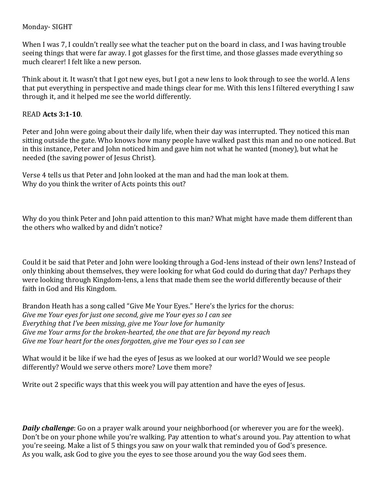### Monday- SIGHT

When I was 7, I couldn't really see what the teacher put on the board in class, and I was having trouble seeing things that were far away. I got glasses for the first time, and those glasses made everything so much clearer! I felt like a new person.

Think about it. It wasn't that I got new eyes, but I got a new lens to look through to see the world. A lens that put everything in perspective and made things clear for me. With this lens I filtered everything I saw through it, and it helped me see the world differently.

# READ **Acts 3:1-10**.

Peter and John were going about their daily life, when their day was interrupted. They noticed this man sitting outside the gate. Who knows how many people have walked past this man and no one noticed. But in this instance, Peter and John noticed him and gave him not what he wanted (money), but what he needed (the saving power of Jesus Christ).

Verse 4 tells us that Peter and John looked at the man and had the man look at them. Why do you think the writer of Acts points this out?

Why do you think Peter and John paid attention to this man? What might have made them different than the others who walked by and didn't notice?

Could it be said that Peter and John were looking through a God-lens instead of their own lens? Instead of only thinking about themselves, they were looking for what God could do during that day? Perhaps they were looking through Kingdom-lens, a lens that made them see the world differently because of their faith in God and His Kingdom.

Brandon Heath has a song called "Give Me Your Eyes." Here's the lyrics for the chorus: *Give me Your eyes for just one second, give me Your eyes so I can see Everything that I've been missing, give me Your love for humanity Give me Your arms for the broken-hearted, the one that are far beyond my reach Give me Your heart for the ones forgotten, give me Your eyes so I can see*

What would it be like if we had the eyes of Jesus as we looked at our world? Would we see people differently? Would we serve others more? Love them more?

Write out 2 specific ways that this week you will pay attention and have the eyes of Jesus.

*Daily challenge*: Go on a prayer walk around your neighborhood (or wherever you are for the week). Don't be on your phone while you're walking. Pay attention to what's around you. Pay attention to what you're seeing. Make a list of 5 things you saw on your walk that reminded you of God's presence. As you walk, ask God to give you the eyes to see those around you the way God sees them.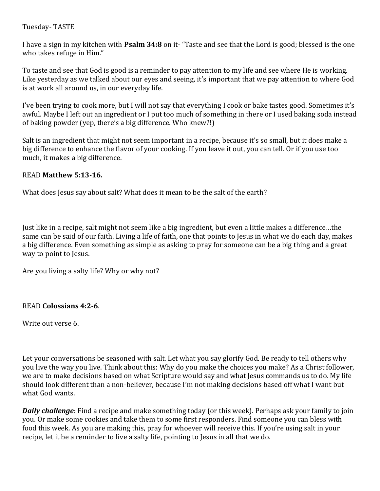# Tuesday- TASTE

I have a sign in my kitchen with **Psalm 34:8** on it- "Taste and see that the Lord is good; blessed is the one who takes refuge in Him."

To taste and see that God is good is a reminder to pay attention to my life and see where He is working. Like yesterday as we talked about our eyes and seeing, it's important that we pay attention to where God is at work all around us, in our everyday life.

I've been trying to cook more, but I will not say that everything I cook or bake tastes good. Sometimes it's awful. Maybe I left out an ingredient or I put too much of something in there or I used baking soda instead of baking powder (yep, there's a big difference. Who knew?!)

Salt is an ingredient that might not seem important in a recipe, because it's so small, but it does make a big difference to enhance the flavor of your cooking. If you leave it out, you can tell. Or if you use too much, it makes a big difference.

### READ **Matthew 5:13-16.**

What does Jesus say about salt? What does it mean to be the salt of the earth?

Just like in a recipe, salt might not seem like a big ingredient, but even a little makes a difference…the same can be said of our faith. Living a life of faith, one that points to Jesus in what we do each day, makes a big difference. Even something as simple as asking to pray for someone can be a big thing and a great way to point to Jesus.

Are you living a salty life? Why or why not?

### READ **Colossians 4:2-6**.

Write out verse 6.

Let your conversations be seasoned with salt. Let what you say glorify God. Be ready to tell others why you live the way you live. Think about this: Why do you make the choices you make? As a Christ follower, we are to make decisions based on what Scripture would say and what Jesus commands us to do. My life should look different than a non-believer, because I'm not making decisions based off what I want but what God wants.

*Daily challenge*: Find a recipe and make something today (or this week). Perhaps ask your family to join you. Or make some cookies and take them to some first responders. Find someone you can bless with food this week. As you are making this, pray for whoever will receive this. If you're using salt in your recipe, let it be a reminder to live a salty life, pointing to Jesus in all that we do.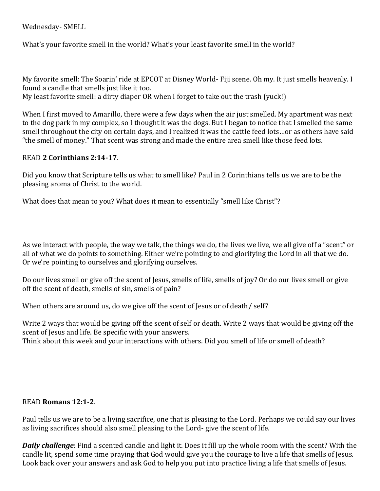Wednesday- SMELL

What's your favorite smell in the world? What's your least favorite smell in the world?

My favorite smell: The Soarin' ride at EPCOT at Disney World- Fiji scene. Oh my. It just smells heavenly. I found a candle that smells just like it too.

My least favorite smell: a dirty diaper OR when I forget to take out the trash (yuck!)

When I first moved to Amarillo, there were a few days when the air just smelled. My apartment was next to the dog park in my complex, so I thought it was the dogs. But I began to notice that I smelled the same smell throughout the city on certain days, and I realized it was the cattle feed lots…or as others have said "the smell of money." That scent was strong and made the entire area smell like those feed lots.

### READ **2 Corinthians 2:14-17**.

Did you know that Scripture tells us what to smell like? Paul in 2 Corinthians tells us we are to be the pleasing aroma of Christ to the world.

What does that mean to you? What does it mean to essentially "smell like Christ"?

As we interact with people, the way we talk, the things we do, the lives we live, we all give off a "scent" or all of what we do points to something. Either we're pointing to and glorifying the Lord in all that we do. Or we're pointing to ourselves and glorifying ourselves.

Do our lives smell or give off the scent of Jesus, smells of life, smells of joy? Or do our lives smell or give off the scent of death, smells of sin, smells of pain?

When others are around us, do we give off the scent of Jesus or of death/self?

Write 2 ways that would be giving off the scent of self or death. Write 2 ways that would be giving off the scent of Jesus and life. Be specific with your answers.

Think about this week and your interactions with others. Did you smell of life or smell of death?

### READ **Romans 12:1-2**.

Paul tells us we are to be a living sacrifice, one that is pleasing to the Lord. Perhaps we could say our lives as living sacrifices should also smell pleasing to the Lord- give the scent of life.

*Daily challenge*: Find a scented candle and light it. Does it fill up the whole room with the scent? With the candle lit, spend some time praying that God would give you the courage to live a life that smells of Jesus. Look back over your answers and ask God to help you put into practice living a life that smells of Jesus.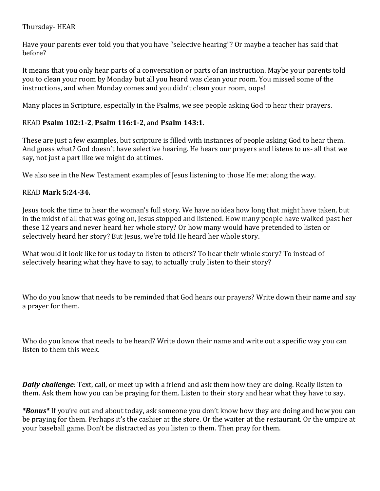# Thursday- HEAR

Have your parents ever told you that you have "selective hearing"? Or maybe a teacher has said that before?

It means that you only hear parts of a conversation or parts of an instruction. Maybe your parents told you to clean your room by Monday but all you heard was clean your room. You missed some of the instructions, and when Monday comes and you didn't clean your room, oops!

Many places in Scripture, especially in the Psalms, we see people asking God to hear their prayers.

# READ **Psalm 102:1-2**, **Psalm 116:1-2**, and **Psalm 143:1**.

These are just a few examples, but scripture is filled with instances of people asking God to hear them. And guess what? God doesn't have selective hearing. He hears our prayers and listens to us- all that we say, not just a part like we might do at times.

We also see in the New Testament examples of Jesus listening to those He met along the way.

# READ **Mark 5:24-34.**

Jesus took the time to hear the woman's full story. We have no idea how long that might have taken, but in the midst of all that was going on, Jesus stopped and listened. How many people have walked past her these 12 years and never heard her whole story? Or how many would have pretended to listen or selectively heard her story? But Jesus, we're told He heard her whole story.

What would it look like for us today to listen to others? To hear their whole story? To instead of selectively hearing what they have to say, to actually truly listen to their story?

Who do you know that needs to be reminded that God hears our prayers? Write down their name and say a prayer for them.

Who do you know that needs to be heard? Write down their name and write out a specific way you can listen to them this week.

*Daily challenge*: Text, call, or meet up with a friend and ask them how they are doing. Really listen to them. Ask them how you can be praying for them. Listen to their story and hear what they have to say.

*\*Bonus\** If you're out and about today, ask someone you don't know how they are doing and how you can be praying for them. Perhaps it's the cashier at the store. Or the waiter at the restaurant. Or the umpire at your baseball game. Don't be distracted as you listen to them. Then pray for them.